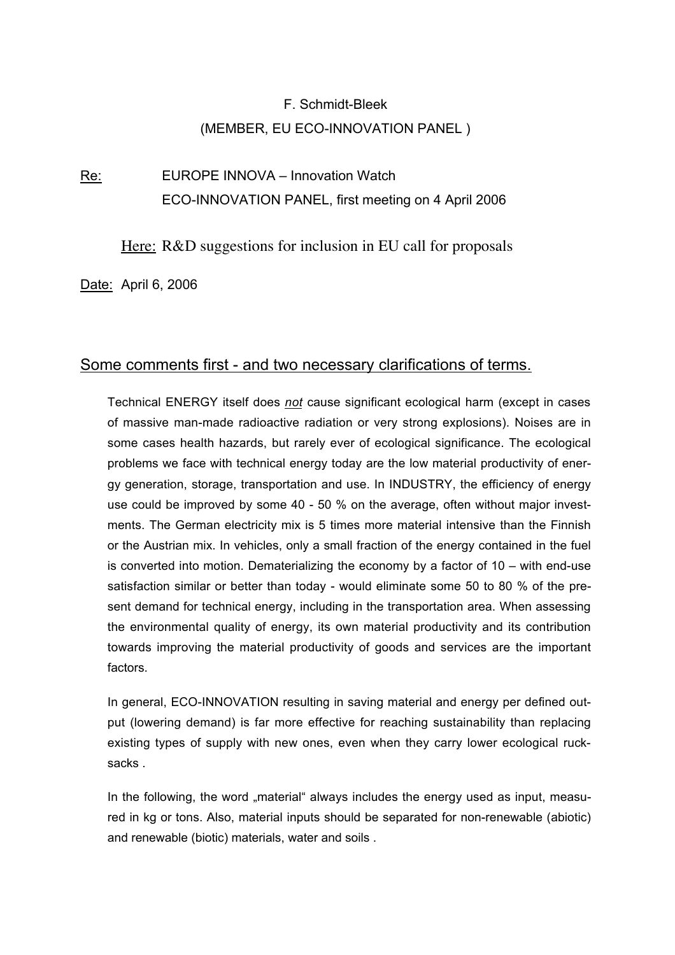# F. Schmidt-Bleek (MEMBER, EU ECO-INNOVATION PANEL )

Re: EUROPE INNOVA – Innovation Watch ECO-INNOVATION PANEL, first meeting on 4 April 2006

Here: R&D suggestions for inclusion in EU call for proposals

Date: April 6, 2006

## Some comments first - and two necessary clarifications of terms.

Technical ENERGY itself does *not* cause significant ecological harm (except in cases of massive man-made radioactive radiation or very strong explosions). Noises are in some cases health hazards, but rarely ever of ecological significance. The ecological problems we face with technical energy today are the low material productivity of energy generation, storage, transportation and use. In INDUSTRY, the efficiency of energy use could be improved by some 40 - 50 % on the average, often without major investments. The German electricity mix is 5 times more material intensive than the Finnish or the Austrian mix. In vehicles, only a small fraction of the energy contained in the fuel is converted into motion. Dematerializing the economy by a factor of 10 – with end-use satisfaction similar or better than today - would eliminate some 50 to 80 % of the present demand for technical energy, including in the transportation area. When assessing the environmental quality of energy, its own material productivity and its contribution towards improving the material productivity of goods and services are the important factors.

In general, ECO-INNOVATION resulting in saving material and energy per defined output (lowering demand) is far more effective for reaching sustainability than replacing existing types of supply with new ones, even when they carry lower ecological rucksacks .

In the following, the word "material" always includes the energy used as input, measured in kg or tons. Also, material inputs should be separated for non-renewable (abiotic) and renewable (biotic) materials, water and soils .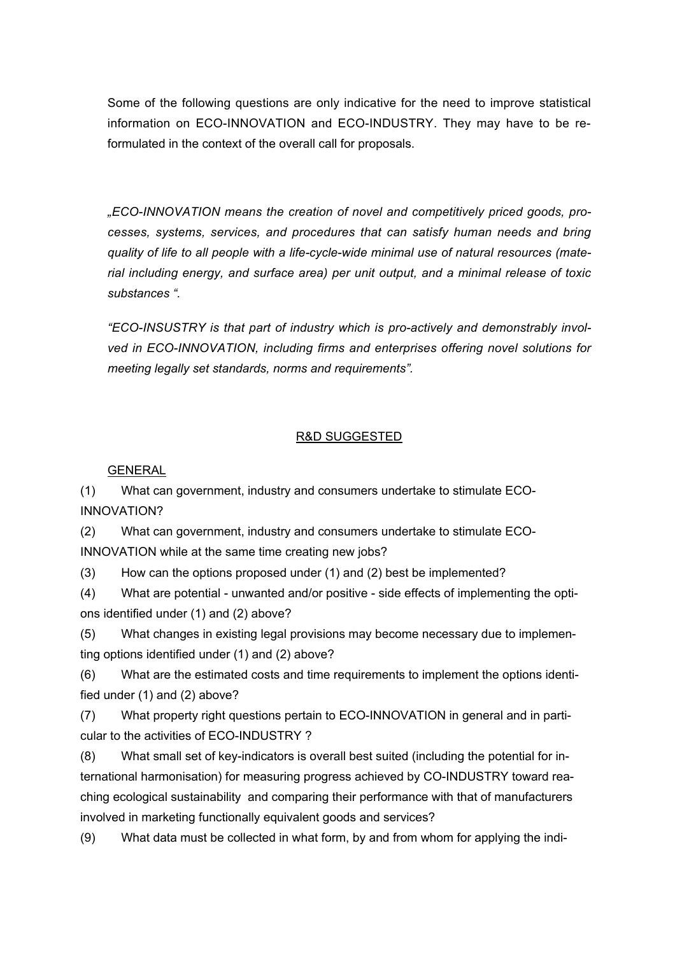Some of the following questions are only indicative for the need to improve statistical information on ECO-INNOVATION and ECO-INDUSTRY. They may have to be reformulated in the context of the overall call for proposals.

*"ECO-INNOVATION means the creation of novel and competitively priced goods, processes, systems, services, and procedures that can satisfy human needs and bring quality of life to all people with a life-cycle-wide minimal use of natural resources (material including energy, and surface area) per unit output, and a minimal release of toxic substances ".*

*"ECO-INSUSTRY is that part of industry which is pro-actively and demonstrably involved in ECO-INNOVATION, including firms and enterprises offering novel solutions for meeting legally set standards, norms and requirements".*

#### R&D SUGGESTED

GENERAL

(1) What can government, industry and consumers undertake to stimulate ECO-INNOVATION?

(2) What can government, industry and consumers undertake to stimulate ECO-INNOVATION while at the same time creating new jobs?

(3) How can the options proposed under (1) and (2) best be implemented?

(4) What are potential - unwanted and/or positive - side effects of implementing the options identified under (1) and (2) above?

(5) What changes in existing legal provisions may become necessary due to implementing options identified under (1) and (2) above?

(6) What are the estimated costs and time requirements to implement the options identified under (1) and (2) above?

(7) What property right questions pertain to ECO-INNOVATION in general and in particular to the activities of ECO-INDUSTRY ?

(8) What small set of key-indicators is overall best suited (including the potential for international harmonisation) for measuring progress achieved by CO-INDUSTRY toward reaching ecological sustainability and comparing their performance with that of manufacturers involved in marketing functionally equivalent goods and services?

(9) What data must be collected in what form, by and from whom for applying the indi-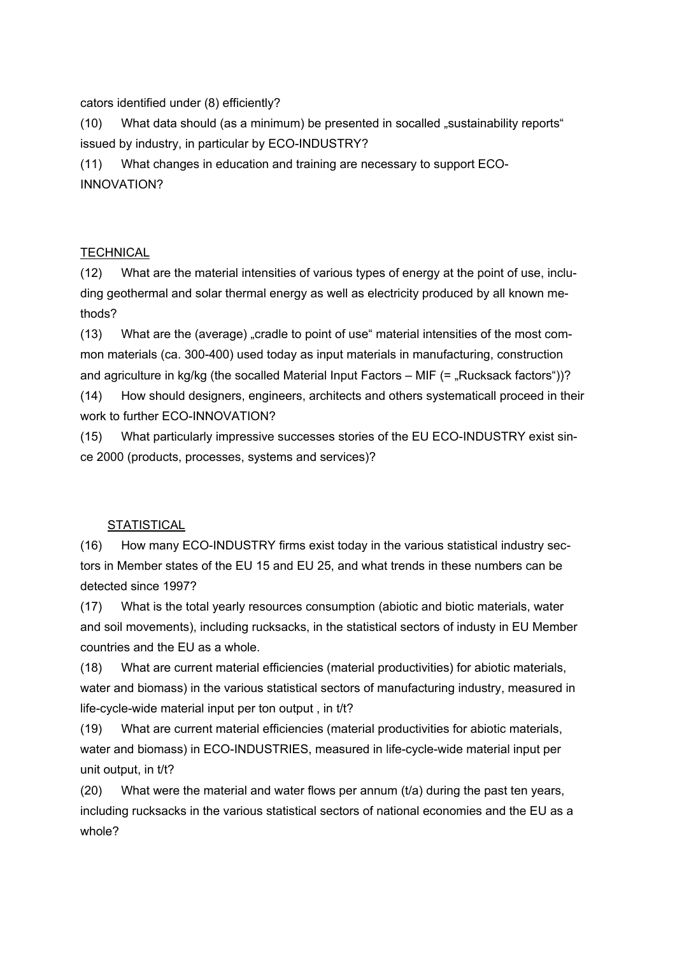cators identified under (8) efficiently?

(10) What data should (as a minimum) be presented in socalled "sustainability reports" issued by industry, in particular by ECO-INDUSTRY?

(11) What changes in education and training are necessary to support ECO-INNOVATION?

### **TECHNICAL**

(12) What are the material intensities of various types of energy at the point of use, including geothermal and solar thermal energy as well as electricity produced by all known methods?

(13) What are the (average) "cradle to point of use" material intensities of the most common materials (ca. 300-400) used today as input materials in manufacturing, construction and agriculture in kg/kg (the socalled Material Input Factors  $-$  MIF (=  $\sqrt{R}$ Rucksack factors"))? (14) How should designers, engineers, architects and others systematicall proceed in their

work to further ECO-INNOVATION?

(15) What particularly impressive successes stories of the EU ECO-INDUSTRY exist since 2000 (products, processes, systems and services)?

## **STATISTICAL**

(16) How many ECO-INDUSTRY firms exist today in the various statistical industry sectors in Member states of the EU 15 and EU 25, and what trends in these numbers can be detected since 1997?

(17) What is the total yearly resources consumption (abiotic and biotic materials, water and soil movements), including rucksacks, in the statistical sectors of industy in EU Member countries and the EU as a whole.

(18) What are current material efficiencies (material productivities) for abiotic materials, water and biomass) in the various statistical sectors of manufacturing industry, measured in life-cycle-wide material input per ton output , in t/t?

(19) What are current material efficiencies (material productivities for abiotic materials, water and biomass) in ECO-INDUSTRIES, measured in life-cycle-wide material input per unit output, in t/t?

(20) What were the material and water flows per annum  $(t/a)$  during the past ten vears, including rucksacks in the various statistical sectors of national economies and the EU as a whole?